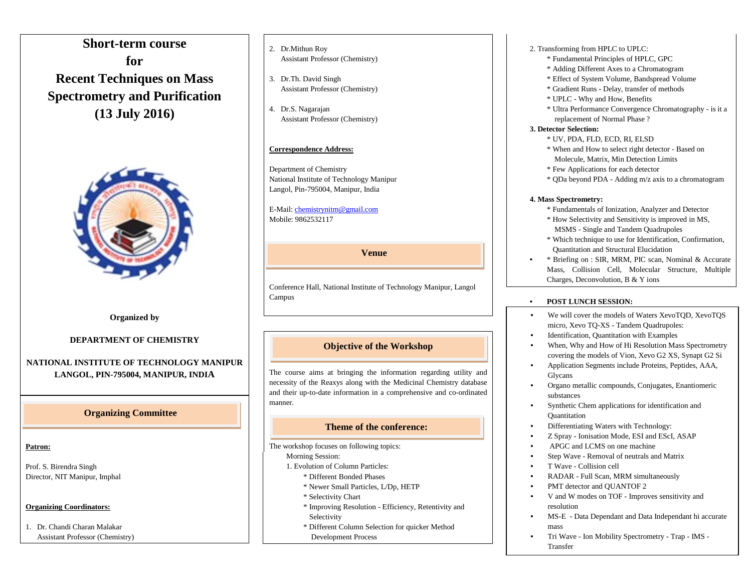# **Short-term course for Recent Techniques on Mass Spectrometry and Purification (13 July 2016)**



**Organized by**

#### **DEPARTMENT OF CHEMISTRY**

#### **NATIONAL INSTITUTE OF TECHNOLOGY MANIPUR LANGOL, PIN-795004, MANIPUR, INDIA**

## **Organizing Committee**

#### **Patron:**

Prof. S. Birendra Singh Director, NIT Manipur, Imphal

## **Organizing Coordinators:**

1. Dr. Chandi Charan Malakar Assistant Professor (Chemistry)

- 2. Dr.Mithun Roy Assistant Professor (Chemistry)
- 3.Dr.Th. David Singh Assistant Professor (Chemistry)
- 4.Dr.S. Nagarajan Assistant Professor (Chemistry)

## **Correspondence Address:**

Department of Chemistry National Institute of Technology Manipur Langol, Pin-795004, Manipur, India

E-Mail[: chemistrynitm@gmail.com](mailto:chemistrynitm@gmail.com) Mobile: 9862532117

#### **Venue**

Conference Hall, National Institute of Technology Manipur, Langol Campus

## **Objective of the Workshop**

The course aims at bringing the information regarding utility and necessity of the Reaxys along with the Medicinal Chemistry database and their up-to-date information in a comprehensive and co-ordinated manner.

## **Theme of the conference:**

The workshop focuses on following topics:

- Morning Session:
- 1. Evolution of Column Particles:
	- \* Different Bonded Phases
	- \* Newer Small Particles, L/Dp, HETP
	- \* Selectivity Chart
	- \* Improving Resolution Efficiency, Retentivity and Selectivity
	- \* Different Column Selection for quicker Method Development Process
- 2. Transforming from HPLC to UPLC:
	- \* Fundamental Principles of HPLC, GPC
	- \* Adding Different Axes to a Chromatogram
	- \* Effect of System Volume, Bandspread Volume
	- \* Gradient Runs Delay, transfer of methods
	- \* UPLC Why and How, Benefits
	- \* Ultra Performance Convergence Chromatography is it a replacement of Normal Phase ?

#### **3. Detector Selection:**

- \* UV, PDA, FLD, ECD, RI, ELSD
- \* When and How to select right detector Based on Molecule, Matrix, Min Detection Limits
- \* Few Applications for each detector
- \* QDa beyond PDA Adding m/z axis to a chromatogram

#### **4. Mass Spectrometry:**

- \* Fundamentals of Ionization, Analyzer and Detector
- \* How Selectivity and Sensitivity is improved in MS, MSMS - Single and Tandem Quadrupoles
- \* Which technique to use for Identification, Confirmation, Quantitation and Structural Elucidation
- \* Briefing on : SIR, MRM, PIC scan, Nominal & Accurate Mass, Collision Cell, Molecular Structure, Multiple Charges, Deconvolution, B & Y ions

#### • **POST LUNCH SESSION:**

- • We will cover the models of Waters XevoTQD, XevoTQS micro, Xevo TQ-XS - Tandem Quadrupoles:
- • Identification, Quantitation with Examples
- • • When, Why and How of Hi Resolution Mass Spectrometry covering the models of Vion, Xevo G2 XS, Synapt G2 Si
- Application Segments include Proteins, Peptides, AAA, Glycans
- • Organo metallic compounds, Conjugates, Enantiomeric substances
- Synthetic Chem applications for identification and **Quantitation**
- Differentiating Waters with Technology:
- Z Spray Ionisation Mode, ESI and EScI, ASAP
- APGC and LCMS on one machine
- Step Wave Removal of neutrals and Matrix
- T Wave Collision cell
- RADAR Full Scan, MRM simultaneously
- PMT detector and OUANTOF 2
- V and W modes on TOF Improves sensitivity and resolution
- MS-E Data Dependant and Data Independant hi accurate mass
- Tri Wave Ion Mobility Spectrometry Trap IMS Transfer